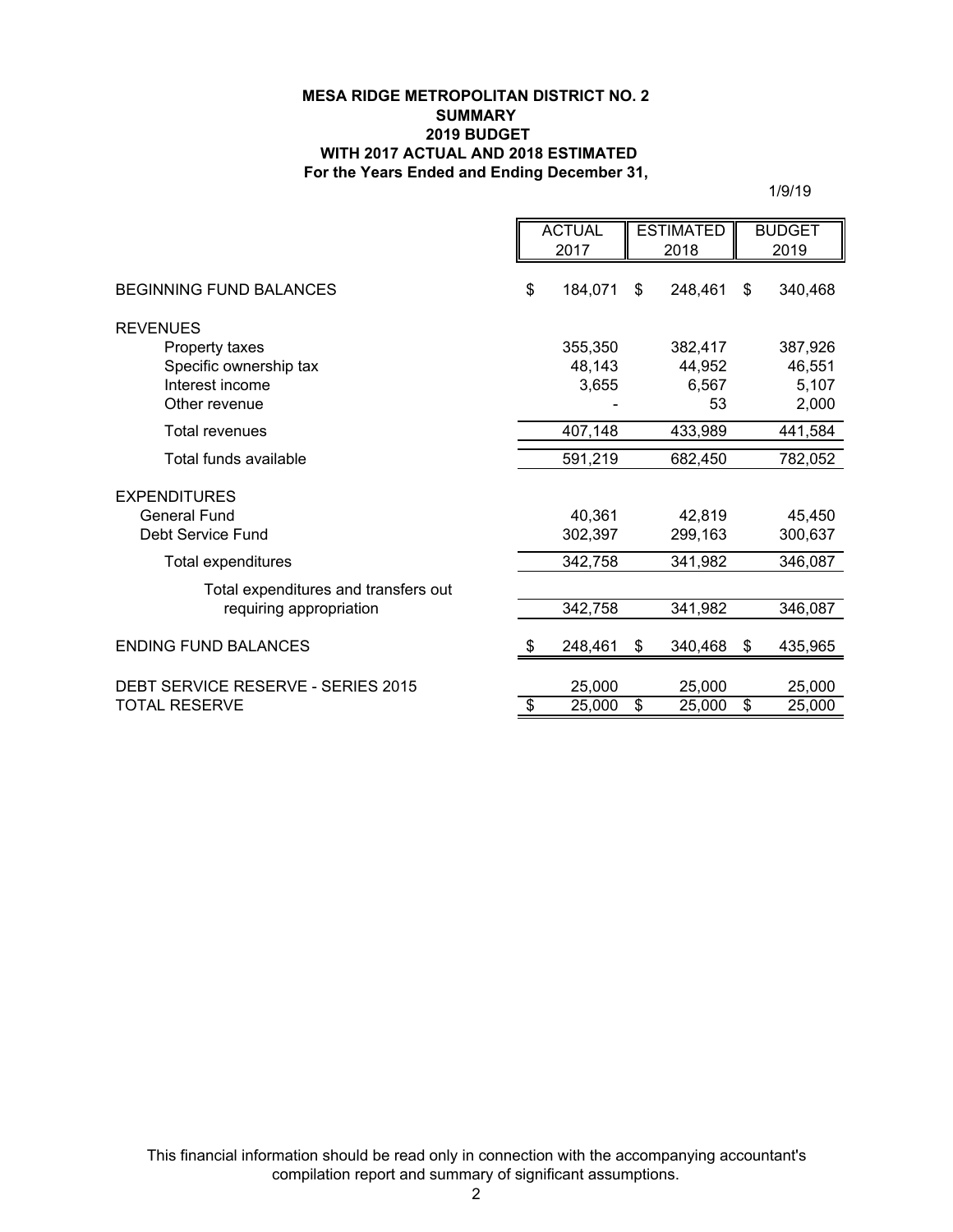## **MESA RIDGE METROPOLITAN DISTRICT NO. 2 SUMMARY 2019 BUDGET WITH 2017 ACTUAL AND 2018 ESTIMATED For the Years Ended and Ending December 31,**

1/9/19

|                                                                 | <b>ACTUAL</b><br>2017 |                   | <b>ESTIMATED</b><br>2018 |                   | <b>BUDGET</b><br>2019 |                   |
|-----------------------------------------------------------------|-----------------------|-------------------|--------------------------|-------------------|-----------------------|-------------------|
|                                                                 |                       |                   |                          |                   |                       |                   |
| <b>BEGINNING FUND BALANCES</b>                                  | \$                    | 184,071           | \$                       | 248,461           | \$                    | 340,468           |
| <b>REVENUES</b>                                                 |                       |                   |                          |                   |                       |                   |
| Property taxes                                                  |                       | 355,350           |                          | 382,417           |                       | 387,926           |
| Specific ownership tax                                          |                       | 48,143            |                          | 44,952            |                       | 46,551            |
| Interest income                                                 |                       | 3,655             |                          | 6,567             |                       | 5,107             |
| Other revenue                                                   |                       |                   |                          | 53                |                       | 2,000             |
| <b>Total revenues</b>                                           |                       | 407,148           |                          | 433,989           |                       | 441,584           |
| Total funds available                                           |                       | 591,219           |                          | 682,450           |                       | 782,052           |
| <b>EXPENDITURES</b><br><b>General Fund</b><br>Debt Service Fund |                       | 40,361<br>302.397 |                          | 42,819<br>299.163 |                       | 45,450<br>300,637 |
| Total expenditures                                              |                       | 342,758           |                          | 341,982           |                       | 346,087           |
| Total expenditures and transfers out                            |                       |                   |                          |                   |                       |                   |
| requiring appropriation                                         |                       | 342,758           |                          | 341,982           |                       | 346,087           |
| <b>ENDING FUND BALANCES</b>                                     |                       | 248,461           | \$                       | 340,468           | \$                    | 435,965           |
| DEBT SERVICE RESERVE - SERIES 2015                              |                       | 25,000            |                          | 25,000            |                       | 25,000            |
| <b>TOTAL RESERVE</b>                                            | \$                    | 25,000            | \$                       | 25,000            | \$                    | 25,000            |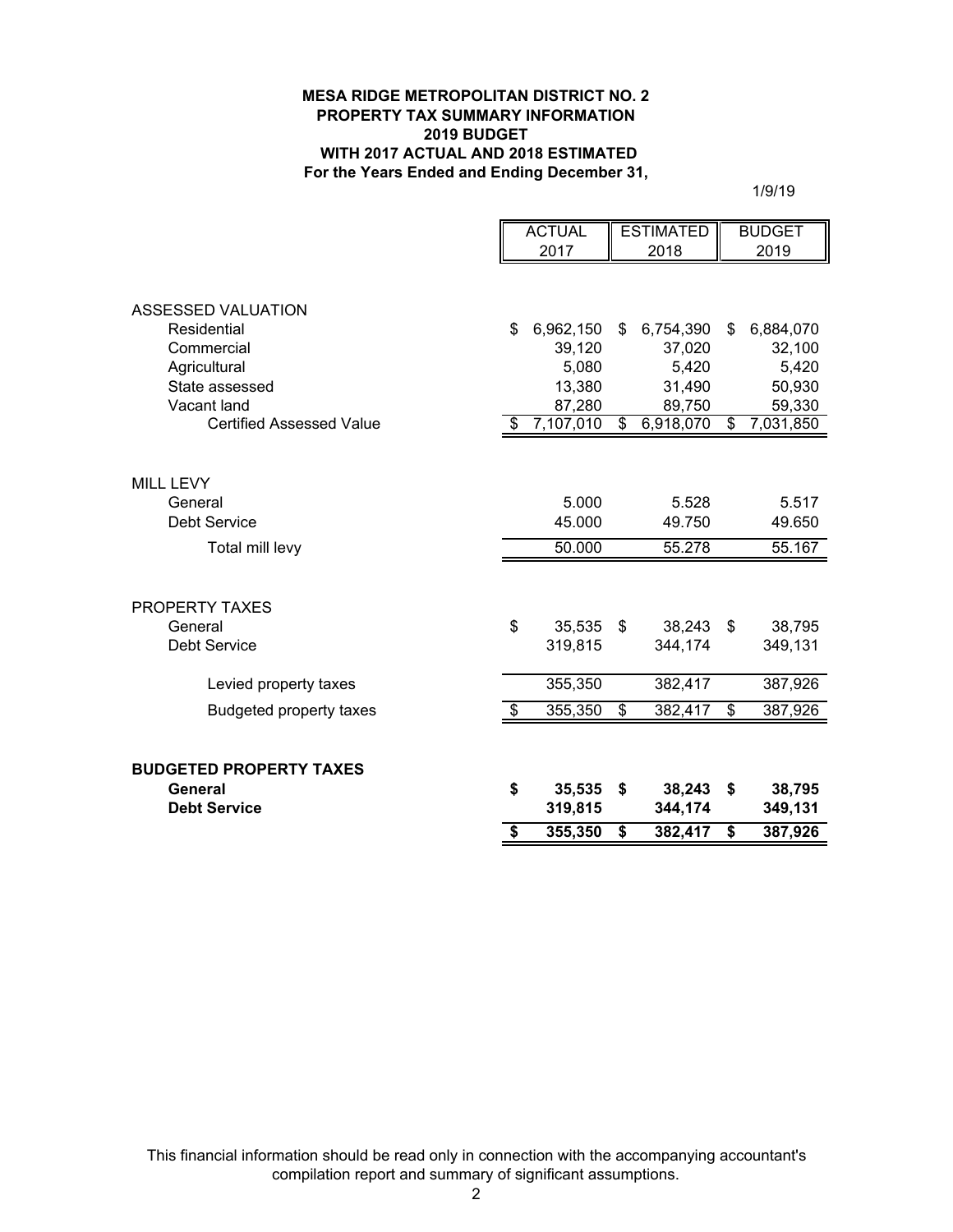## **MESA RIDGE METROPOLITAN DISTRICT NO. 2 PROPERTY TAX SUMMARY INFORMATION 2019 BUDGET WITH 2017 ACTUAL AND 2018 ESTIMATED For the Years Ended and Ending December 31,**

1/9/19

|                                                | <b>ACTUAL</b> |                     | <b>ESTIMATED</b> |                     | <b>BUDGET</b> |                     |
|------------------------------------------------|---------------|---------------------|------------------|---------------------|---------------|---------------------|
|                                                | 2017          |                     | 2018             |                     | 2019          |                     |
| <b>ASSESSED VALUATION</b>                      |               |                     |                  |                     |               |                     |
| Residential                                    | \$            | 6,962,150           | \$               | 6,754,390           | \$            | 6,884,070           |
| Commercial                                     |               | 39,120              |                  | 37,020              |               | 32,100              |
| Agricultural                                   |               | 5,080               |                  | 5,420               |               | 5,420               |
| State assessed                                 |               | 13,380              |                  | 31,490              |               | 50,930              |
| Vacant land<br><b>Certified Assessed Value</b> | \$            | 87,280<br>7,107,010 | $\mathfrak{S}$   | 89,750<br>6,918,070 | \$            | 59,330<br>7,031,850 |
|                                                |               |                     |                  |                     |               |                     |
| MILL LEVY                                      |               |                     |                  |                     |               |                     |
| General                                        |               | 5.000               |                  | 5.528               |               | 5.517               |
| <b>Debt Service</b>                            |               | 45.000              |                  | 49.750              |               | 49.650              |
| Total mill levy                                |               | 50.000              |                  | 55.278              |               | 55.167              |
|                                                |               |                     |                  |                     |               |                     |
| <b>PROPERTY TAXES</b>                          |               |                     |                  |                     |               |                     |
| General                                        | \$            | 35,535              | $\mathfrak{S}$   | 38,243 \$           |               | 38,795              |
| <b>Debt Service</b>                            |               | 319,815             |                  | 344,174             |               | 349,131             |
| Levied property taxes                          |               | 355,350             |                  | 382,417             |               | 387,926             |
| <b>Budgeted property taxes</b>                 | \$            | 355,350             | \$               | 382,417             | \$            | 387,926             |
| <b>BUDGETED PROPERTY TAXES</b>                 |               |                     |                  |                     |               |                     |
| General                                        | \$            | 35,535              | \$               | 38,243              | - \$          | 38,795              |
| <b>Debt Service</b>                            |               | 319,815             |                  | 344,174             |               | 349,131             |
|                                                | \$            | 355,350             | \$               | 382,417             | \$            | 387,926             |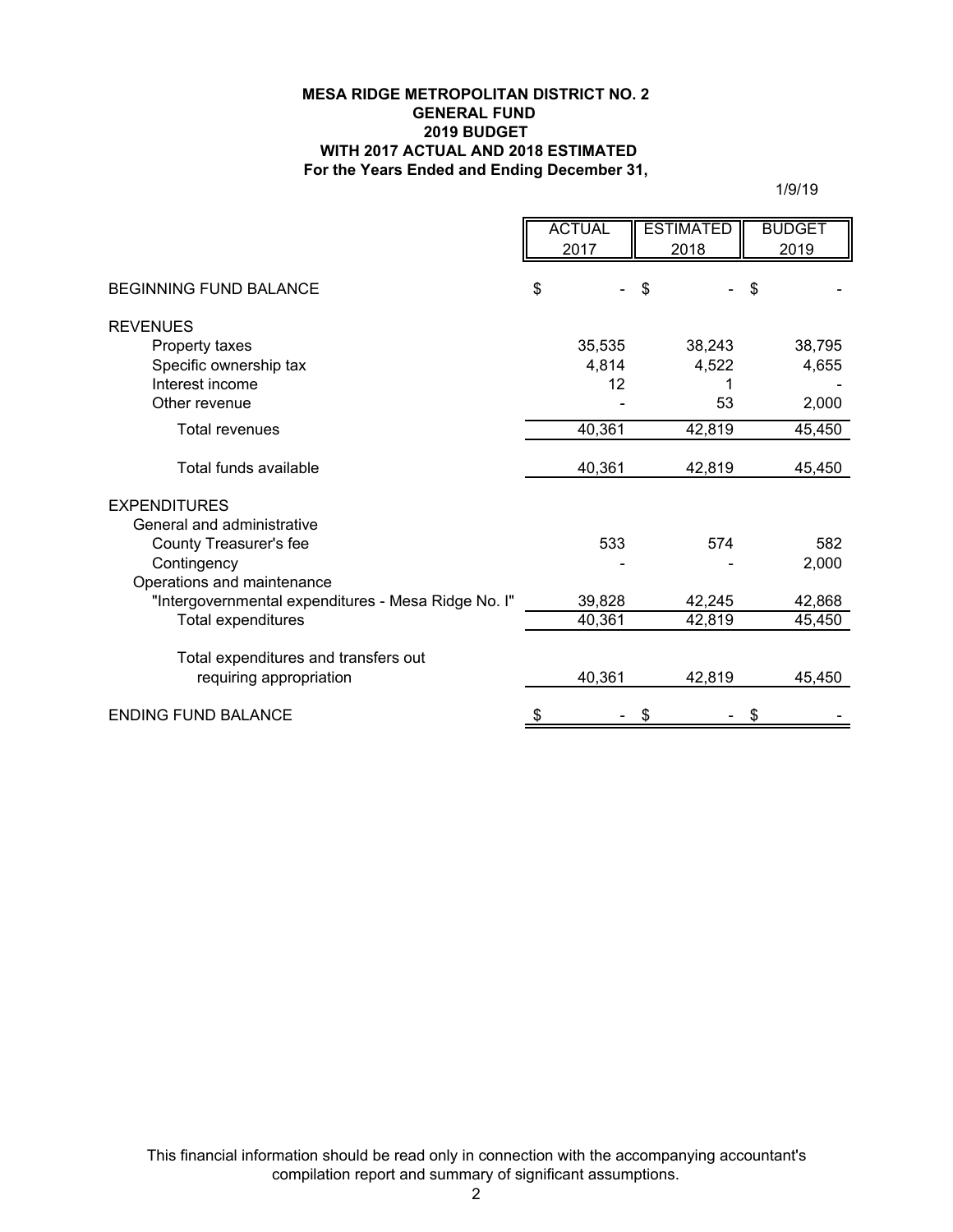## **For the Years Ended and Ending December 31, MESA RIDGE METROPOLITAN DISTRICT NO. 2 GENERAL FUND 2019 BUDGET WITH 2017 ACTUAL AND 2018 ESTIMATED**

1/9/19

|                                                     | <b>ACTUAL</b><br><b>ESTIMATED</b> |        | <b>BUDGET</b> |  |
|-----------------------------------------------------|-----------------------------------|--------|---------------|--|
|                                                     | 2017                              | 2018   | 2019          |  |
|                                                     |                                   |        |               |  |
| <b>BEGINNING FUND BALANCE</b>                       | \$                                | \$     | \$            |  |
| <b>REVENUES</b>                                     |                                   |        |               |  |
| Property taxes                                      | 35,535                            | 38,243 | 38,795        |  |
| Specific ownership tax                              | 4,814                             | 4,522  | 4,655         |  |
| Interest income                                     | 12                                |        |               |  |
| Other revenue                                       |                                   | 53     | 2,000         |  |
| <b>Total revenues</b>                               | 40,361                            | 42,819 | 45,450        |  |
| Total funds available                               | 40,361                            | 42,819 | 45,450        |  |
| <b>EXPENDITURES</b>                                 |                                   |        |               |  |
| General and administrative                          |                                   |        |               |  |
| County Treasurer's fee                              | 533                               | 574    | 582           |  |
| Contingency                                         |                                   |        | 2,000         |  |
| Operations and maintenance                          |                                   |        |               |  |
| "Intergovernmental expenditures - Mesa Ridge No. I" | 39,828                            | 42,245 | 42,868        |  |
| <b>Total expenditures</b>                           | 40,361                            | 42,819 | 45,450        |  |
|                                                     |                                   |        |               |  |
| Total expenditures and transfers out                |                                   |        |               |  |
| requiring appropriation                             | 40,361                            | 42,819 | 45,450        |  |
| <b>ENDING FUND BALANCE</b>                          |                                   | \$     | \$            |  |